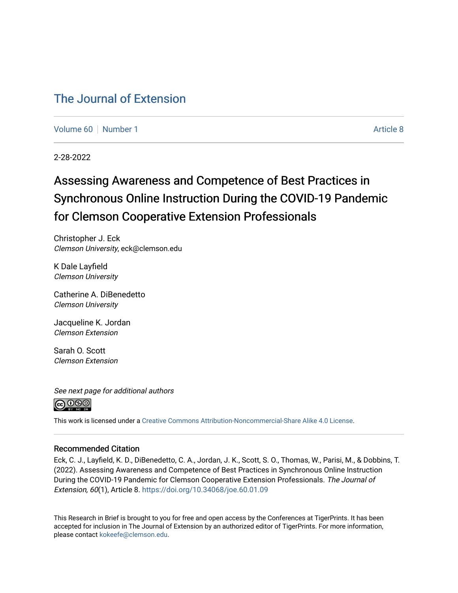## [The Journal of Extension](https://tigerprints.clemson.edu/joe)

[Volume 60](https://tigerprints.clemson.edu/joe/vol60) [Number 1](https://tigerprints.clemson.edu/joe/vol60/iss1) Article 8

2-28-2022

# Assessing Awareness and Competence of Best Practices in Synchronous Online Instruction During the COVID-19 Pandemic for Clemson Cooperative Extension Professionals

Christopher J. Eck Clemson University, eck@clemson.edu

K Dale Layfield Clemson University

Catherine A. DiBenedetto Clemson University

Jacqueline K. Jordan Clemson Extension

Sarah O. Scott Clemson Extension

See next page for additional authors



This work is licensed under a [Creative Commons Attribution-Noncommercial-Share Alike 4.0 License.](https://creativecommons.org/licenses/by-nc-sa/4.0/)

#### Recommended Citation

Eck, C. J., Layfield, K. D., DiBenedetto, C. A., Jordan, J. K., Scott, S. O., Thomas, W., Parisi, M., & Dobbins, T. (2022). Assessing Awareness and Competence of Best Practices in Synchronous Online Instruction During the COVID-19 Pandemic for Clemson Cooperative Extension Professionals. The Journal of Extension, 60(1), Article 8.<https://doi.org/10.34068/joe.60.01.09>

This Research in Brief is brought to you for free and open access by the Conferences at TigerPrints. It has been accepted for inclusion in The Journal of Extension by an authorized editor of TigerPrints. For more information, please contact [kokeefe@clemson.edu](mailto:kokeefe@clemson.edu).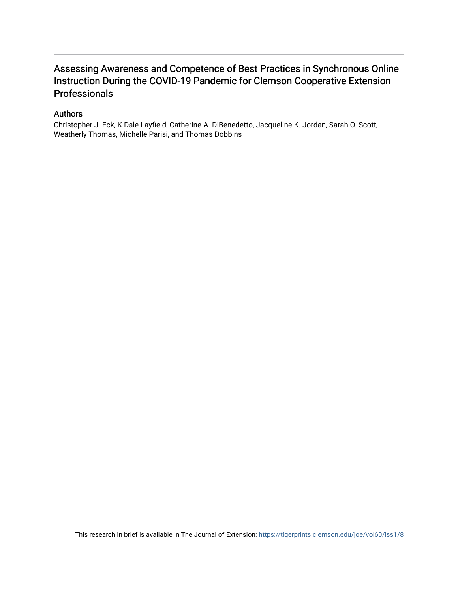### Assessing Awareness and Competence of Best Practices in Synchronous Online Instruction During the COVID-19 Pandemic for Clemson Cooperative Extension Professionals

#### Authors

Christopher J. Eck, K Dale Layfield, Catherine A. DiBenedetto, Jacqueline K. Jordan, Sarah O. Scott, Weatherly Thomas, Michelle Parisi, and Thomas Dobbins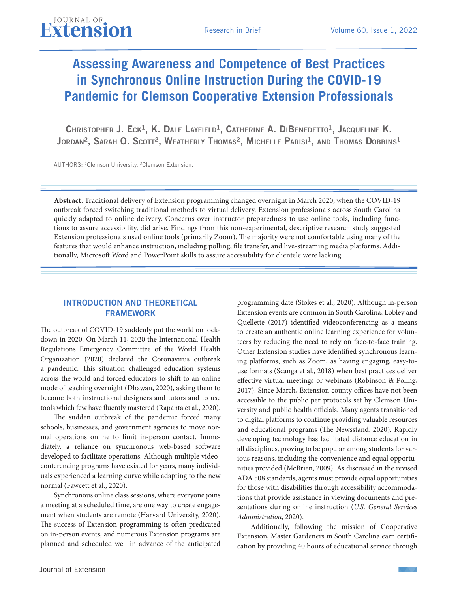# **Assessing Awareness and Competence of Best Practices in Synchronous Online Instruction During the COVID-19 Pandemic for Clemson Cooperative Extension Professionals**

CHRISTOPHER J. ECK<sup>1</sup>, K. DALE LAYFIELD<sup>1</sup>, CATHERINE A. DIBENEDETTO<sup>1</sup>, JACQUELINE K. JORDAN<sup>2</sup>, SARAH O. SCOTT<sup>2</sup>, WEATHERLY THOMAS<sup>2</sup>, MICHELLE PARISI<sup>1</sup>, AND THOMAS DOBBINS<sup>1</sup>

AUTHORS: 1Clemson University. ²Clemson Extension.

**Abstract**. Traditional delivery of Extension programming changed overnight in March 2020, when the COVID-19 outbreak forced switching traditional methods to virtual delivery. Extension professionals across South Carolina quickly adapted to online delivery. Concerns over instructor preparedness to use online tools, including functions to assure accessibility, did arise. Findings from this non-experimental, descriptive research study suggested Extension professionals used online tools (primarily Zoom). The majority were not comfortable using many of the features that would enhance instruction, including polling, file transfer, and live-streaming media platforms. Additionally, Microsoft Word and PowerPoint skills to assure accessibility for clientele were lacking.

#### INTRODUCTION AND THEORETICAL FRAMEWORK

The outbreak of COVID-19 suddenly put the world on lockdown in 2020. On March 11, 2020 the International Health Regulations Emergency Committee of the World Health Organization (2020) declared the Coronavirus outbreak a pandemic. This situation challenged education systems across the world and forced educators to shift to an online mode of teaching overnight (Dhawan, 2020), asking them to become both instructional designers and tutors and to use tools which few have fluently mastered (Rapanta et al., 2020).

The sudden outbreak of the pandemic forced many schools, businesses, and government agencies to move normal operations online to limit in-person contact. Immediately, a reliance on synchronous web-based software developed to facilitate operations. Although multiple videoconferencing programs have existed for years, many individuals experienced a learning curve while adapting to the new normal (Fawcett et al., 2020).

Synchronous online class sessions, where everyone joins a meeting at a scheduled time, are one way to create engagement when students are remote (Harvard University, 2020). The success of Extension programming is often predicated on in-person events, and numerous Extension programs are planned and scheduled well in advance of the anticipated

programming date (Stokes et al., 2020). Although in-person Extension events are common in South Carolina, Lobley and Quellette (2017) identified videoconferencing as a means to create an authentic online learning experience for volunteers by reducing the need to rely on face-to-face training. Other Extension studies have identified synchronous learning platforms, such as Zoom, as having engaging, easy-touse formats (Scanga et al., 2018) when best practices deliver effective virtual meetings or webinars (Robinson & Poling, 2017). Since March, Extension county offices have not been accessible to the public per protocols set by Clemson University and public health officials. Many agents transitioned to digital platforms to continue providing valuable resources and educational programs (The Newsstand, 2020). Rapidly developing technology has facilitated distance education in all disciplines, proving to be popular among students for various reasons, including the convenience and equal opportunities provided (McBrien, 2009). As discussed in the revised ADA 508 standards, agents must provide equal opportunities for those with disabilities through accessibility accommodations that provide assistance in viewing documents and presentations during online instruction (*U.S. General Services Administration*, 2020).

Additionally, following the mission of Cooperative Extension, Master Gardeners in South Carolina earn certification by providing 40 hours of educational service through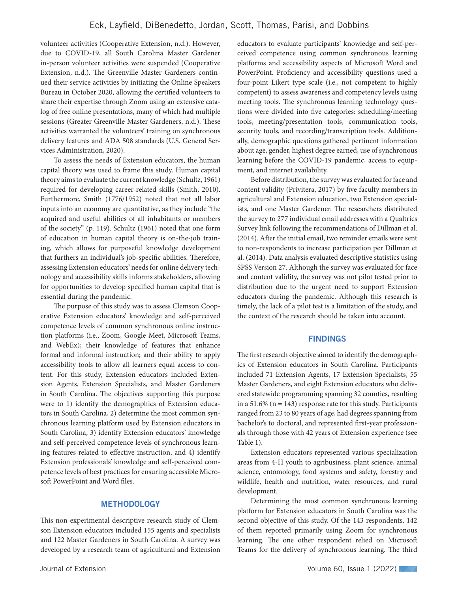volunteer activities (Cooperative Extension, n.d.). However, due to COVID-19, all South Carolina Master Gardener in-person volunteer activities were suspended (Cooperative Extension, n.d.). The Greenville Master Gardeners continued their service activities by initiating the Online Speakers Bureau in October 2020, allowing the certified volunteers to share their expertise through Zoom using an extensive catalog of free online presentations, many of which had multiple sessions (Greater Greenville Master Gardeners, n.d.). These activities warranted the volunteers' training on synchronous delivery features and ADA 508 standards (U.S. General Services Administration, 2020).

To assess the needs of Extension educators, the human capital theory was used to frame this study. Human capital theory aims to evaluate the current knowledge (Schultz, 1961) required for developing career-related skills (Smith, 2010). Furthermore, Smith (1776/1952) noted that not all labor inputs into an economy are quantitative, as they include "the acquired and useful abilities of all inhabitants or members of the society" (p. 119). Schultz (1961) noted that one form of education in human capital theory is on-the-job training, which allows for purposeful knowledge development that furthers an individual's job-specific abilities. Therefore, assessing Extension educators' needs for online delivery technology and accessibility skills informs stakeholders, allowing for opportunities to develop specified human capital that is essential during the pandemic.

The purpose of this study was to assess Clemson Cooperative Extension educators' knowledge and self-perceived competence levels of common synchronous online instruction platforms (i.e., Zoom, Google Meet, Microsoft Teams, and WebEx); their knowledge of features that enhance formal and informal instruction; and their ability to apply accessibility tools to allow all learners equal access to content. For this study, Extension educators included Extension Agents, Extension Specialists, and Master Gardeners in South Carolina. The objectives supporting this purpose were to 1) identify the demographics of Extension educators in South Carolina, 2) determine the most common synchronous learning platform used by Extension educators in South Carolina, 3) identify Extension educators' knowledge and self-perceived competence levels of synchronous learning features related to effective instruction, and 4) identify Extension professionals' knowledge and self-perceived competence levels of best practices for ensuring accessible Microsoft PowerPoint and Word files.

#### **METHODOLOGY**

This non-experimental descriptive research study of Clemson Extension educators included 155 agents and specialists and 122 Master Gardeners in South Carolina. A survey was developed by a research team of agricultural and Extension

educators to evaluate participants' knowledge and self-perceived competence using common synchronous learning platforms and accessibility aspects of Microsoft Word and PowerPoint. Proficiency and accessibility questions used a four-point Likert type scale (i.e., not competent to highly competent) to assess awareness and competency levels using meeting tools. The synchronous learning technology questions were divided into five categories: scheduling/meeting tools, meeting/presentation tools, communication tools, security tools, and recording/transcription tools. Additionally, demographic questions gathered pertinent information about age, gender, highest degree earned, use of synchronous learning before the COVID-19 pandemic, access to equipment, and internet availability.

Before distribution, the survey was evaluated for face and content validity (Privitera, 2017) by five faculty members in agricultural and Extension education, two Extension specialists, and one Master Gardener. The researchers distributed the survey to 277 individual email addresses with a Qualtrics Survey link following the recommendations of Dillman et al. (2014). After the initial email, two reminder emails were sent to non-respondents to increase participation per Dillman et al. (2014). Data analysis evaluated descriptive statistics using SPSS Version 27. Although the survey was evaluated for face and content validity, the survey was not pilot tested prior to distribution due to the urgent need to support Extension educators during the pandemic. Although this research is timely, the lack of a pilot test is a limitation of the study, and the context of the research should be taken into account.

#### FINDINGS

The first research objective aimed to identify the demographics of Extension educators in South Carolina. Participants included 71 Extension Agents, 17 Extension Specialists, 55 Master Gardeners, and eight Extension educators who delivered statewide programming spanning 32 counties, resulting in a 51.6% ( $n = 143$ ) response rate for this study. Participants ranged from 23 to 80 years of age, had degrees spanning from bachelor's to doctoral, and represented first-year professionals through those with 42 years of Extension experience (see Table 1).

Extension educators represented various specialization areas from 4-H youth to agribusiness, plant science, animal science, entomology, food systems and safety, forestry and wildlife, health and nutrition, water resources, and rural development.

Determining the most common synchronous learning platform for Extension educators in South Carolina was the second objective of this study. Of the 143 respondents, 142 of them reported primarily using Zoom for synchronous learning. The one other respondent relied on Microsoft Teams for the delivery of synchronous learning. The third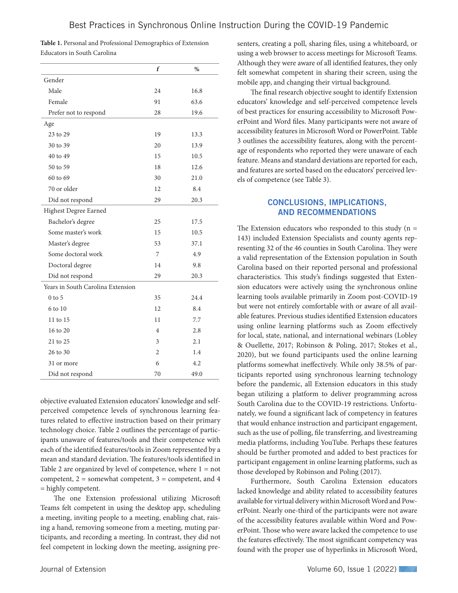|                                   | f              | $\%$ |
|-----------------------------------|----------------|------|
| Gender                            |                |      |
| Male                              | 24             | 16.8 |
| Female                            | 91             | 63.6 |
| Prefer not to respond             | 28             | 19.6 |
| Age                               |                |      |
| 23 to 29                          | 19             | 13.3 |
| 30 to 39                          | 20             | 13.9 |
| 40 to 49                          | 15             | 10.5 |
| 50 to 59                          | 18             | 12.6 |
| 60 to 69                          | 30             | 21.0 |
| 70 or older                       | 12             | 8.4  |
| Did not respond                   | 29             | 20.3 |
| Highest Degree Earned             |                |      |
| Bachelor's degree                 | 25             | 17.5 |
| Some master's work                | 15             | 10.5 |
| Master's degree                   | 53             | 37.1 |
| Some doctoral work                | 7              | 4.9  |
| Doctoral degree                   | 14             | 9.8  |
| Did not respond                   | 29             | 20.3 |
| Years in South Carolina Extension |                |      |
| $0$ to $5$                        | 35             | 24.4 |
| 6 to 10                           | 12             | 8.4  |
| 11 to 15                          | 11             | 7.7  |
| 16 to 20                          | $\overline{4}$ | 2.8  |
| 21 to 25                          | 3              | 2.1  |
| 26 to 30                          | $\overline{2}$ | 1.4  |
| 31 or more                        | 6              | 4.2  |
| Did not respond                   | 70             | 49.0 |

| Table 1. Personal and Professional Demographics of Extension |  |
|--------------------------------------------------------------|--|
| Educators in South Carolina                                  |  |

objective evaluated Extension educators' knowledge and selfperceived competence levels of synchronous learning features related to effective instruction based on their primary technology choice. Table 2 outlines the percentage of participants unaware of features/tools and their competence with each of the identified features/tools in Zoom represented by a mean and standard deviation. The features/tools identified in Table 2 are organized by level of competence, where  $1 = not$ competent,  $2 =$  somewhat competent,  $3 =$  competent, and  $4$ = highly competent.

The one Extension professional utilizing Microsoft Teams felt competent in using the desktop app, scheduling a meeting, inviting people to a meeting, enabling chat, raising a hand, removing someone from a meeting, muting participants, and recording a meeting. In contrast, they did not feel competent in locking down the meeting, assigning presenters, creating a poll, sharing files, using a whiteboard, or using a web browser to access meetings for Microsoft Teams. Although they were aware of all identified features, they only felt somewhat competent in sharing their screen, using the mobile app, and changing their virtual background.

The final research objective sought to identify Extension educators' knowledge and self-perceived competence levels of best practices for ensuring accessibility to Microsoft PowerPoint and Word files. Many participants were not aware of accessibility features in Microsoft Word or PowerPoint. Table 3 outlines the accessibility features, along with the percentage of respondents who reported they were unaware of each feature. Means and standard deviations are reported for each, and features are sorted based on the educators' perceived levels of competence (see Table 3).

#### CONCLUSIONS, IMPLICATIONS, AND RECOMMENDATIONS

The Extension educators who responded to this study  $(n =$ 143) included Extension Specialists and county agents representing 32 of the 46 counties in South Carolina. They were a valid representation of the Extension population in South Carolina based on their reported personal and professional characteristics. This study's findings suggested that Extension educators were actively using the synchronous online learning tools available primarily in Zoom post-COVID-19 but were not entirely comfortable with or aware of all available features. Previous studies identified Extension educators using online learning platforms such as Zoom effectively for local, state, national, and international webinars (Lobley & Ouellette, 2017; Robinson & Poling, 2017; Stokes et al., 2020), but we found participants used the online learning platforms somewhat ineffectively. While only 38.5% of participants reported using synchronous learning technology before the pandemic, all Extension educators in this study began utilizing a platform to deliver programming across South Carolina due to the COVID-19 restrictions. Unfortunately, we found a significant lack of competency in features that would enhance instruction and participant engagement, such as the use of polling, file transferring, and livestreaming media platforms, including YouTube. Perhaps these features should be further promoted and added to best practices for participant engagement in online learning platforms, such as those developed by Robinson and Poling (2017).

Furthermore, South Carolina Extension educators lacked knowledge and ability related to accessibility features available for virtual delivery within Microsoft Word and PowerPoint. Nearly one-third of the participants were not aware of the accessibility features available within Word and PowerPoint. Those who were aware lacked the competence to use the features effectively. The most significant competency was found with the proper use of hyperlinks in Microsoft Word,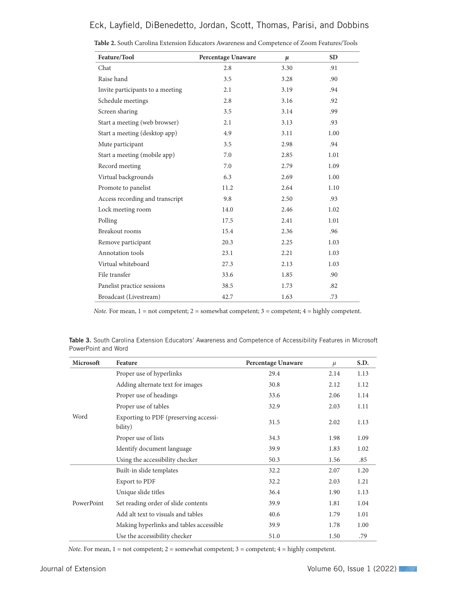### Eck, Layfield, DiBenedetto, Jordan, Scott, Thomas, Parisi, and Dobbins

| Feature/Tool                     | Percentage Unaware | $\mu$ | <b>SD</b> |
|----------------------------------|--------------------|-------|-----------|
| Chat                             | 2.8                | 3.30  | .91       |
| Raise hand                       | 3.5                | 3.28  | .90       |
| Invite participants to a meeting | 2.1                | 3.19  | .94       |
| Schedule meetings                | 2.8                | 3.16  | .92       |
| Screen sharing                   | 3.5                | 3.14  | .99       |
| Start a meeting (web browser)    | 2.1                | 3.13  | .93       |
| Start a meeting (desktop app)    | 4.9                | 3.11  | 1.00      |
| Mute participant                 | 3.5                | 2.98  | .94       |
| Start a meeting (mobile app)     | 7.0                | 2.85  | 1.01      |
| Record meeting                   | 7.0                | 2.79  | 1.09      |
| Virtual backgrounds              | 6.3                | 2.69  | 1.00      |
| Promote to panelist              | 11.2               | 2.64  | 1.10      |
| Access recording and transcript  | 9.8                | 2.50  | .93       |
| Lock meeting room                | 14.0               | 2.46  | 1.02      |
| Polling                          | 17.5               | 2.41  | 1.01      |
| <b>Breakout rooms</b>            | 15.4               | 2.36  | .96       |
| Remove participant               | 20.3               | 2.25  | 1.03      |
| Annotation tools                 | 23.1               | 2.21  | 1.03      |
| Virtual whiteboard               | 27.3               | 2.13  | 1.03      |
| File transfer                    | 33.6               | 1.85  | .90       |
| Panelist practice sessions       | 38.5               | 1.73  | .82       |
| Broadcast (Livestream)           | 42.7               | 1.63  | .73       |

*Note.* For mean,  $1 = not$  competent;  $2 =$  somewhat competent;  $3 =$  competent;  $4 =$  highly competent.

Table 3. South Carolina Extension Educators' Awareness and Competence of Accessibility Features in Microsoft PowerPoint and Word

| Microsoft  | Feature                                          | <b>Percentage Unaware</b> | $\mu$ | S.D. |
|------------|--------------------------------------------------|---------------------------|-------|------|
| Word       | Proper use of hyperlinks                         | 29.4                      | 2.14  | 1.13 |
|            | Adding alternate text for images                 | 30.8                      | 2.12  | 1.12 |
|            | Proper use of headings                           | 33.6                      | 2.06  | 1.14 |
|            | Proper use of tables                             | 32.9                      | 2.03  | 1.11 |
|            | Exporting to PDF (preserving accessi-<br>bility) | 31.5                      | 2.02  | 1.13 |
|            | Proper use of lists                              | 34.3                      | 1.98  | 1.09 |
|            | Identify document language                       | 39.9                      | 1.83  | 1.02 |
|            | Using the accessibility checker                  | 50.3                      | 1.56  | .85  |
| PowerPoint | Built-in slide templates                         | 32.2                      | 2.07  | 1.20 |
|            | <b>Export to PDF</b>                             | 32.2                      | 2.03  | 1.21 |
|            | Unique slide titles                              | 36.4                      | 1.90  | 1.13 |
|            | Set reading order of slide contents              | 39.9                      | 1.81  | 1.04 |
|            | Add alt text to visuals and tables               | 40.6                      | 1.79  | 1.01 |
|            | Making hyperlinks and tables accessible          | 39.9                      | 1.78  | 1.00 |
|            | Use the accessibility checker                    | 51.0                      | 1.50  | .79  |

*Note.* For mean,  $1 = not$  competent;  $2 =$  somewhat competent;  $3 =$  competent;  $4 =$  highly competent.